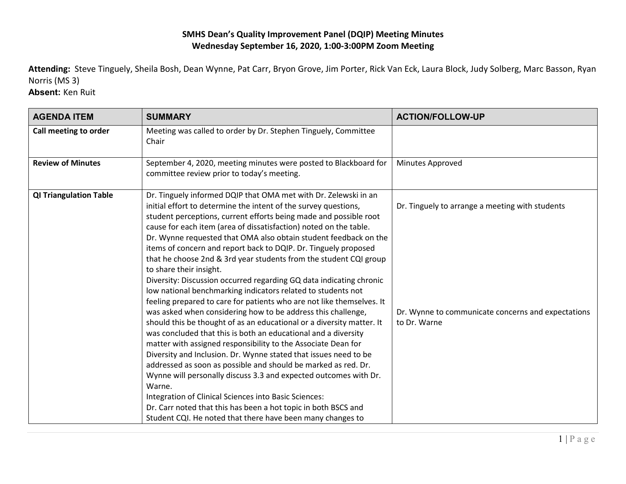## **SMHS Dean's Quality Improvement Panel (DQIP) Meeting Minutes Wednesday September 16, 2020, 1:00-3:00PM Zoom Meeting**

**Attending:** Steve Tinguely, Sheila Bosh, Dean Wynne, Pat Carr, Bryon Grove, Jim Porter, Rick Van Eck, Laura Block, Judy Solberg, Marc Basson, Ryan Norris (MS 3)

**Absent:** Ken Ruit

| <b>AGENDA ITEM</b>            | <b>SUMMARY</b>                                                                                                                                                                                                                                                                                                                                                                                                                                                                                                                                                                                                                                                                                                                                                                                                                                                                                                                                                                                                                                                                                                                                                                                                                                                                                                                                                                                                               | <b>ACTION/FOLLOW-UP</b>                                                                                               |
|-------------------------------|------------------------------------------------------------------------------------------------------------------------------------------------------------------------------------------------------------------------------------------------------------------------------------------------------------------------------------------------------------------------------------------------------------------------------------------------------------------------------------------------------------------------------------------------------------------------------------------------------------------------------------------------------------------------------------------------------------------------------------------------------------------------------------------------------------------------------------------------------------------------------------------------------------------------------------------------------------------------------------------------------------------------------------------------------------------------------------------------------------------------------------------------------------------------------------------------------------------------------------------------------------------------------------------------------------------------------------------------------------------------------------------------------------------------------|-----------------------------------------------------------------------------------------------------------------------|
| Call meeting to order         | Meeting was called to order by Dr. Stephen Tinguely, Committee<br>Chair                                                                                                                                                                                                                                                                                                                                                                                                                                                                                                                                                                                                                                                                                                                                                                                                                                                                                                                                                                                                                                                                                                                                                                                                                                                                                                                                                      |                                                                                                                       |
| <b>Review of Minutes</b>      | September 4, 2020, meeting minutes were posted to Blackboard for<br>committee review prior to today's meeting.                                                                                                                                                                                                                                                                                                                                                                                                                                                                                                                                                                                                                                                                                                                                                                                                                                                                                                                                                                                                                                                                                                                                                                                                                                                                                                               | Minutes Approved                                                                                                      |
| <b>QI Triangulation Table</b> | Dr. Tinguely informed DQIP that OMA met with Dr. Zelewski in an<br>initial effort to determine the intent of the survey questions,<br>student perceptions, current efforts being made and possible root<br>cause for each item (area of dissatisfaction) noted on the table.<br>Dr. Wynne requested that OMA also obtain student feedback on the<br>items of concern and report back to DQIP. Dr. Tinguely proposed<br>that he choose 2nd & 3rd year students from the student CQI group<br>to share their insight.<br>Diversity: Discussion occurred regarding GQ data indicating chronic<br>low national benchmarking indicators related to students not<br>feeling prepared to care for patients who are not like themselves. It<br>was asked when considering how to be address this challenge,<br>should this be thought of as an educational or a diversity matter. It<br>was concluded that this is both an educational and a diversity<br>matter with assigned responsibility to the Associate Dean for<br>Diversity and Inclusion. Dr. Wynne stated that issues need to be<br>addressed as soon as possible and should be marked as red. Dr.<br>Wynne will personally discuss 3.3 and expected outcomes with Dr.<br>Warne.<br>Integration of Clinical Sciences into Basic Sciences:<br>Dr. Carr noted that this has been a hot topic in both BSCS and<br>Student CQI. He noted that there have been many changes to | Dr. Tinguely to arrange a meeting with students<br>Dr. Wynne to communicate concerns and expectations<br>to Dr. Warne |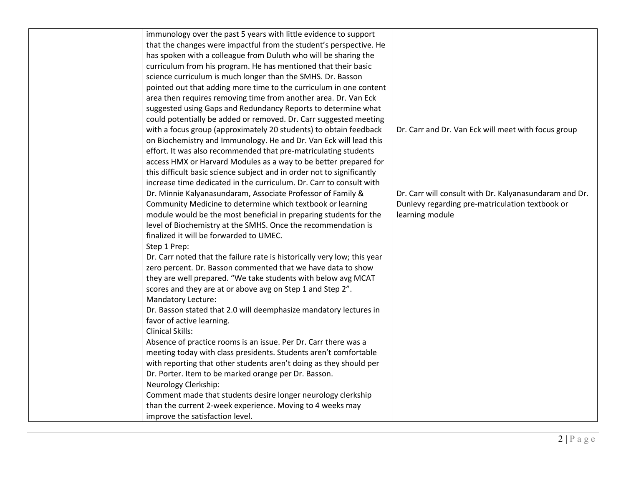| immunology over the past 5 years with little evidence to support         |                                                        |
|--------------------------------------------------------------------------|--------------------------------------------------------|
| that the changes were impactful from the student's perspective. He       |                                                        |
| has spoken with a colleague from Duluth who will be sharing the          |                                                        |
| curriculum from his program. He has mentioned that their basic           |                                                        |
| science curriculum is much longer than the SMHS. Dr. Basson              |                                                        |
| pointed out that adding more time to the curriculum in one content       |                                                        |
| area then requires removing time from another area. Dr. Van Eck          |                                                        |
| suggested using Gaps and Redundancy Reports to determine what            |                                                        |
| could potentially be added or removed. Dr. Carr suggested meeting        |                                                        |
| with a focus group (approximately 20 students) to obtain feedback        | Dr. Carr and Dr. Van Eck will meet with focus group    |
| on Biochemistry and Immunology. He and Dr. Van Eck will lead this        |                                                        |
| effort. It was also recommended that pre-matriculating students          |                                                        |
| access HMX or Harvard Modules as a way to be better prepared for         |                                                        |
| this difficult basic science subject and in order not to significantly   |                                                        |
| increase time dedicated in the curriculum. Dr. Carr to consult with      |                                                        |
| Dr. Minnie Kalyanasundaram, Associate Professor of Family &              | Dr. Carr will consult with Dr. Kalyanasundaram and Dr. |
| Community Medicine to determine which textbook or learning               | Dunlevy regarding pre-matriculation textbook or        |
| module would be the most beneficial in preparing students for the        | learning module                                        |
| level of Biochemistry at the SMHS. Once the recommendation is            |                                                        |
| finalized it will be forwarded to UMEC.                                  |                                                        |
| Step 1 Prep:                                                             |                                                        |
| Dr. Carr noted that the failure rate is historically very low; this year |                                                        |
| zero percent. Dr. Basson commented that we have data to show             |                                                        |
| they are well prepared. "We take students with below avg MCAT            |                                                        |
| scores and they are at or above avg on Step 1 and Step 2".               |                                                        |
| Mandatory Lecture:                                                       |                                                        |
| Dr. Basson stated that 2.0 will deemphasize mandatory lectures in        |                                                        |
| favor of active learning.                                                |                                                        |
| <b>Clinical Skills:</b>                                                  |                                                        |
| Absence of practice rooms is an issue. Per Dr. Carr there was a          |                                                        |
| meeting today with class presidents. Students aren't comfortable         |                                                        |
| with reporting that other students aren't doing as they should per       |                                                        |
| Dr. Porter. Item to be marked orange per Dr. Basson.                     |                                                        |
| Neurology Clerkship:                                                     |                                                        |
| Comment made that students desire longer neurology clerkship             |                                                        |
| than the current 2-week experience. Moving to 4 weeks may                |                                                        |
| improve the satisfaction level.                                          |                                                        |